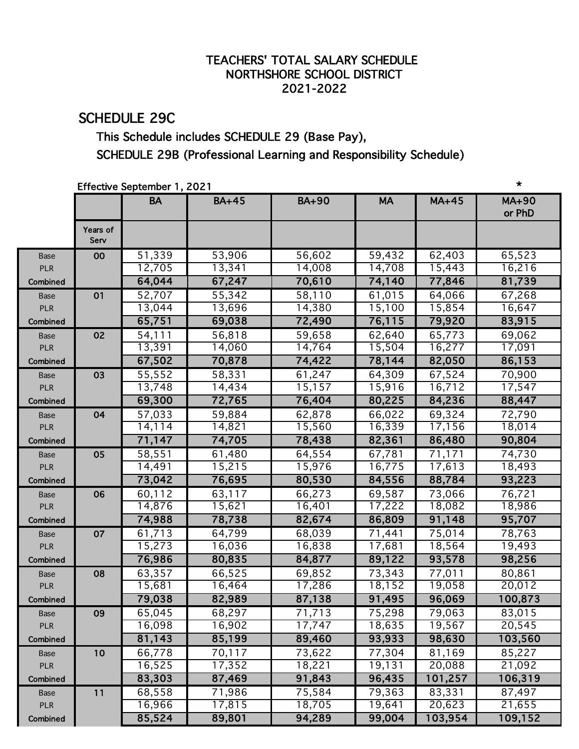### TEACHERS' TOTAL SALARY SCHEDULE NORTHSHORE SCHOOL DISTRICT 2021-2022

# SCHEDULE 29C

## This Schedule includes SCHEDULE 29 (Base Pay), SCHEDULE 29B (Professional Learning and Responsibility Schedule)

#### Effective September 1, 2021 \*

|             |                  | $150000$ or $1000000$<br><b>BA</b> | $BA+45$ | <b>BA+90</b> | <b>MA</b> | $MA+45$ | MA+90   |
|-------------|------------------|------------------------------------|---------|--------------|-----------|---------|---------|
|             |                  |                                    |         |              |           |         | or PhD  |
|             | Years of<br>Serv |                                    |         |              |           |         |         |
| <b>Base</b> | 00               | 51,339                             | 53,906  | 56,602       | 59,432    | 62,403  | 65,523  |
| <b>PLR</b>  |                  | 12,705                             | 13,341  | 14,008       | 14,708    | 15,443  | 16,216  |
| Combined    |                  | 64,044                             | 67,247  | 70,610       | 74,140    | 77,846  | 81,739  |
| Base        | 01               | 52,707                             | 55,342  | 58,110       | 61,015    | 64,066  | 67,268  |
| <b>PLR</b>  |                  | 13,044                             | 13,696  | 14,380       | 15,100    | 15,854  | 16,647  |
| Combined    |                  | 65,751                             | 69,038  | 72,490       | 76,115    | 79,920  | 83,915  |
| <b>Base</b> | 02               | 54,111                             | 56,818  | 59,658       | 62,640    | 65,773  | 69,062  |
| <b>PLR</b>  |                  | 13,391                             | 14,060  | 14,764       | 15,504    | 16,277  | 17,091  |
| Combined    |                  | 67,502                             | 70,878  | 74,422       | 78,144    | 82,050  | 86,153  |
| Base        | 03               | 55,552                             | 58,331  | 61,247       | 64,309    | 67,524  | 70,900  |
| <b>PLR</b>  |                  | 13,748                             | 14,434  | 15,157       | 15,916    | 16,712  | 17,547  |
| Combined    |                  | 69,300                             | 72,765  | 76,404       | 80,225    | 84,236  | 88,447  |
| <b>Base</b> | 04               | 57,033                             | 59,884  | 62,878       | 66,022    | 69,324  | 72,790  |
| <b>PLR</b>  |                  | 14,114                             | 14,821  | 15,560       | 16,339    | 17,156  | 18,014  |
| Combined    |                  | 71,147                             | 74,705  | 78,438       | 82,361    | 86,480  | 90,804  |
| Base        | 05               | 58,551                             | 61,480  | 64,554       | 67,781    | 71,171  | 74,730  |
| <b>PLR</b>  |                  | 14,491                             | 15,215  | 15,976       | 16,775    | 17,613  | 18,493  |
| Combined    |                  | 73,042                             | 76,695  | 80,530       | 84,556    | 88,784  | 93,223  |
| Base        | 06               | 60,112                             | 63,117  | 66,273       | 69,587    | 73,066  | 76,721  |
| <b>PLR</b>  |                  | 14,876                             | 15,621  | 16,401       | 17,222    | 18,082  | 18,986  |
| Combined    |                  | 74,988                             | 78,738  | 82,674       | 86,809    | 91,148  | 95,707  |
| Base        | 07               | 61,713                             | 64,799  | 68,039       | 71,441    | 75,014  | 78,763  |
| <b>PLR</b>  |                  | 15,273                             | 16,036  | 16,838       | 17,681    | 18,564  | 19,493  |
| Combined    |                  | 76,986                             | 80,835  | 84,877       | 89,122    | 93,578  | 98,256  |
| <b>Base</b> | 08               | 63,357                             | 66,525  | 69,852       | 73,343    | 77,011  | 80,861  |
| <b>PLR</b>  |                  | 15,681                             | 16,464  | 17,286       | 18,152    | 19,058  | 20,012  |
| Combined    |                  | 79,038                             | 82,989  | 87,138       | 91,495    | 96,069  | 100,873 |
| Base        | 09               | 65,045                             | 68,297  | 71,713       | 75,298    | 79,063  | 83,015  |
| <b>PLR</b>  |                  | 16,098                             | 16,902  | 17,747       | 18,635    | 19,567  | 20,545  |
| Combined    |                  | 81,143                             | 85,199  | 89,460       | 93,933    | 98,630  | 103,560 |
| Base        | 10               | 66,778                             | 70,117  | 73,622       | 77,304    | 81,169  | 85,227  |
| <b>PLR</b>  |                  | 16,525                             | 17,352  | 18,221       | 19,131    | 20,088  | 21,092  |
| Combined    |                  | 83,303                             | 87,469  | 91,843       | 96,435    | 101,257 | 106,319 |
| Base        | 11               | 68,558                             | 71,986  | 75,584       | 79,363    | 83,331  | 87,497  |
| <b>PLR</b>  |                  | 16,966                             | 17,815  | 18,705       | 19,641    | 20,623  | 21,655  |
| Combined    |                  | 85,524                             | 89,801  | 94,289       | 99,004    | 103,954 | 109,152 |